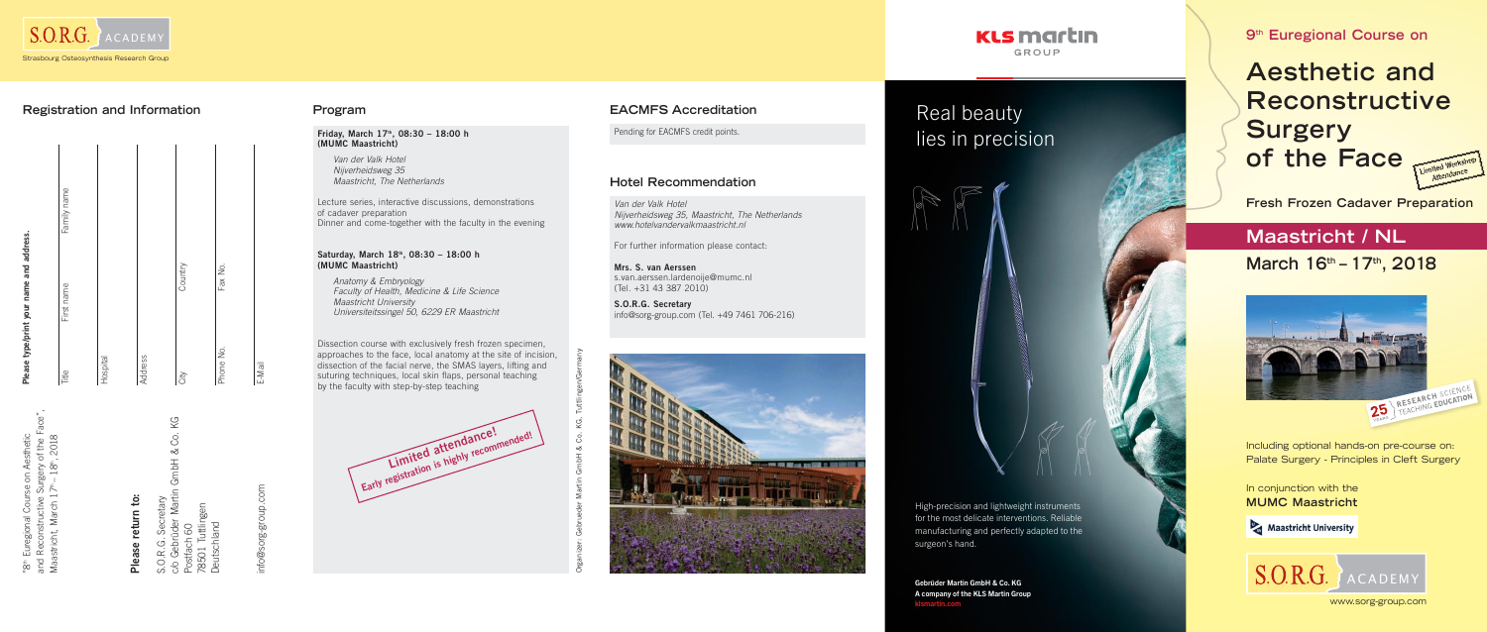**9th Euregional Course on**

**Aesthetic and Reconstructive Surgery of the Face** 



 $S.O.R.G.$ ACADEMY

# **Maastricht / NL**

**March 16 th – 17th, 2018**



www.sorg-group.com

**Fresh Frozen Cadaver Preparation**

In conjunction with the **MUMC Maastricht**

Maastricht University

Including optional hands-on pre-course on: Palate Surgery - Principles in Cleft Surgery

and Reconstructive Surgery of the Face", Maastricht, March 17th – 18th, 2018





E-Mail

## **Registration and Information**

th Euregional Course on Aesthetic

# **Please return to:**

"8" Euregional Course on Aesthetic<br>and Reconstructive Surgery of the Face<br>Maastricht, March 17"-18", 2018<br>Maastricht, March 17"-18", 2018<br>S.O.R.G. Secretary<br>Costfach 60<br>Postfach 60<br>Deutschland<br>Deutschland

**Deutschland** 

he-slonb-suc info@sorg-group.com ම

**Friday, March 17th, 08:30 – 18:00 h (MUMC Maastricht)**

> Van der Valk Hotel Nijverheidsweg 35 Maastricht, The Netherlands

Lecture series, interactive discussions, demonstrations of cadaver preparation Dinner and come-together with the faculty in the evening

### **Saturday, March 18th, 08:30 – 18:00 h (MUMC Maastricht)**

 Anatomy & Embryology Faculty of Health, Medicine & Life Science Maastricht University Universiteitssingel 50, 6229 ER Maastricht

Dissection course with exclusively fresh frozen specimen, approaches to the face, local anatomy at the site of incision, dissection of the facial nerve, the SMAS layers, lifting and suturing techniques, local skin flaps, personal teaching by the faculty with step-by-step teaching

Organizer: Gebrueder Martin GmbH & Co. KG, Tuttlingen/Germany

### **Program**

Van der Valk Hotel Nijverheidsweg 35, Maastricht, The Netherlands www.hotelvandervalkmaastricht.nl

For further information please contact:

**Mrs. S. van Aerssen**  s.van.aerssen.lardenoije@mumc.nl (Tel. +31 43 387 2010)

**S.O.R.G. Secretary** info@sorg-group.com (Tel. +49 7461 706-216)





### **Hotel Recommendation**

Pending for EACMFS credit points.

# **EACMFS Accreditation**



Real beauty lies in precision

High-precision and lightweight instruments for the most delicate interventions. Reliable manufacturing and perfectly adapted to the

surgeon's hand.

Gebrüder Martin GmbH & Co. KG A company of the KLS Martin Group

klsmartin.com